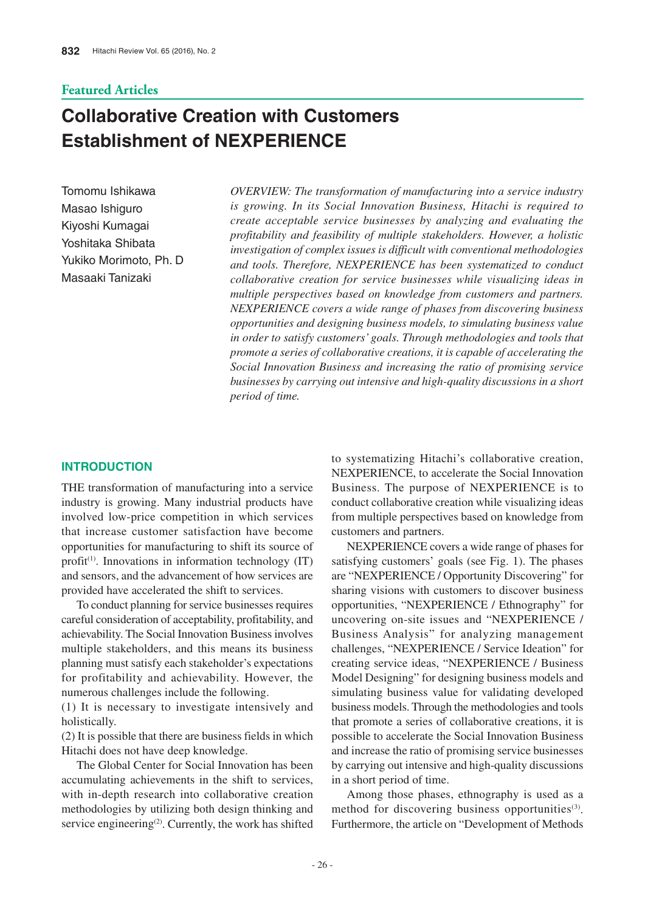# **Featured Articles**

# **Collaborative Creation with Customers Establishment of NEXPERIENCE**

Tomomu Ishikawa Masao Ishiguro Kiyoshi Kumagai Yoshitaka Shibata Yukiko Morimoto, Ph. D. Masaaki Tanizaki

*OVERVIEW: The transformation of manufacturing into a service industry is growing. In its Social Innovation Business, Hitachi is required to create acceptable service businesses by analyzing and evaluating the profitability and feasibility of multiple stakeholders. However, a holistic investigation of complex issues is difficult with conventional methodologies and tools. Therefore, NEXPERIENCE has been systematized to conduct collaborative creation for service businesses while visualizing ideas in multiple perspectives based on knowledge from customers and partners. NEXPERIENCE covers a wide range of phases from discovering business opportunities and designing business models, to simulating business value in order to satisfy customers' goals. Through methodologies and tools that promote a series of collaborative creations, it is capable of accelerating the Social Innovation Business and increasing the ratio of promising service businesses by carrying out intensive and high-quality discussions in a short period of time.*

# **INTRODUCTION**

THE transformation of manufacturing into a service industry is growing. Many industrial products have involved low-price competition in which services that increase customer satisfaction have become opportunities for manufacturing to shift its source of profit<sup> $(1)$ </sup>. Innovations in information technology  $(IT)$ and sensors, and the advancement of how services are provided have accelerated the shift to services.

To conduct planning for service businesses requires careful consideration of acceptability, profitability, and achievability. The Social Innovation Business involves multiple stakeholders, and this means its business planning must satisfy each stakeholder's expectations for profitability and achievability. However, the numerous challenges include the following.

(1) It is necessary to investigate intensively and holistically.

(2) It is possible that there are business fields in which Hitachi does not have deep knowledge.

The Global Center for Social Innovation has been accumulating achievements in the shift to services, with in-depth research into collaborative creation methodologies by utilizing both design thinking and service engineering<sup> $(2)$ </sup>. Currently, the work has shifted

to systematizing Hitachi's collaborative creation, NEXPERIENCE, to accelerate the Social Innovation Business. The purpose of NEXPERIENCE is to conduct collaborative creation while visualizing ideas from multiple perspectives based on knowledge from customers and partners.

NEXPERIENCE covers a wide range of phases for satisfying customers' goals (see Fig. 1). The phases are "NEXPERIENCE / Opportunity Discovering" for sharing visions with customers to discover business opportunities, "NEXPERIENCE / Ethnography" for uncovering on-site issues and "NEXPERIENCE / Business Analysis" for analyzing management challenges, "NEXPERIENCE / Service Ideation" for creating service ideas, "NEXPERIENCE / Business Model Designing" for designing business models and simulating business value for validating developed business models. Through the methodologies and tools that promote a series of collaborative creations, it is possible to accelerate the Social Innovation Business and increase the ratio of promising service businesses by carrying out intensive and high-quality discussions in a short period of time.

Among those phases, ethnography is used as a method for discovering business opportunities<sup>(3)</sup>. Furthermore, the article on "Development of Methods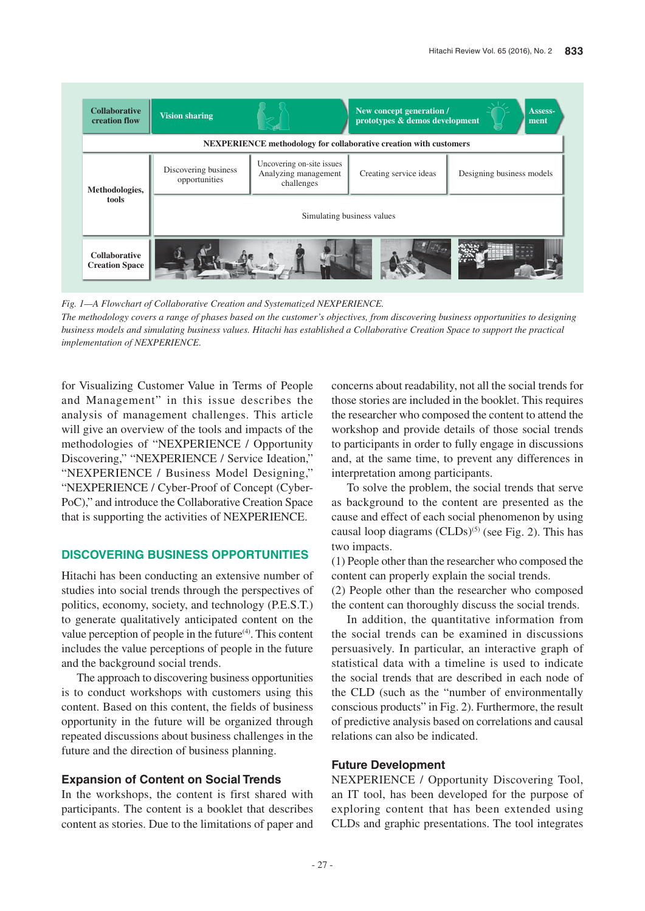

*Fig. 1—A Flowchart of Collaborative Creation and Systematized NEXPERIENCE.*

*The methodology covers a range of phases based on the customer's objectives, from discovering business opportunities to designing business models and simulating business values. Hitachi has established a Collaborative Creation Space to support the practical implementation of NEXPERIENCE.*

for Visualizing Customer Value in Terms of People and Management" in this issue describes the analysis of management challenges. This article will give an overview of the tools and impacts of the methodologies of "NEXPERIENCE / Opportunity Discovering," "NEXPERIENCE / Service Ideation," "NEXPERIENCE / Business Model Designing," "NEXPERIENCE / Cyber-Proof of Concept (Cyber-PoC)," and introduce the Collaborative Creation Space that is supporting the activities of NEXPERIENCE.

# **DISCOVERING BUSINESS OPPORTUNITIES**

Hitachi has been conducting an extensive number of studies into social trends through the perspectives of politics, economy, society, and technology (P.E.S.T.) to generate qualitatively anticipated content on the value perception of people in the future $(4)$ . This content includes the value perceptions of people in the future and the background social trends.

The approach to discovering business opportunities is to conduct workshops with customers using this content. Based on this content, the fields of business opportunity in the future will be organized through repeated discussions about business challenges in the future and the direction of business planning.

### **Expansion of Content on Social Trends**

In the workshops, the content is first shared with participants. The content is a booklet that describes content as stories. Due to the limitations of paper and concerns about readability, not all the social trends for those stories are included in the booklet. This requires the researcher who composed the content to attend the workshop and provide details of those social trends to participants in order to fully engage in discussions and, at the same time, to prevent any differences in interpretation among participants.

To solve the problem, the social trends that serve as background to the content are presented as the cause and effect of each social phenomenon by using causal loop diagrams  $(CLDs)^{(5)}$  (see Fig. 2). This has two impacts.

(1) People other than the researcher who composed the content can properly explain the social trends.

(2) People other than the researcher who composed the content can thoroughly discuss the social trends.

In addition, the quantitative information from the social trends can be examined in discussions persuasively. In particular, an interactive graph of statistical data with a timeline is used to indicate the social trends that are described in each node of the CLD (such as the "number of environmentally conscious products" in Fig. 2). Furthermore, the result of predictive analysis based on correlations and causal relations can also be indicated.

# **Future Development**

NEXPERIENCE / Opportunity Discovering Tool, an IT tool, has been developed for the purpose of exploring content that has been extended using CLDs and graphic presentations. The tool integrates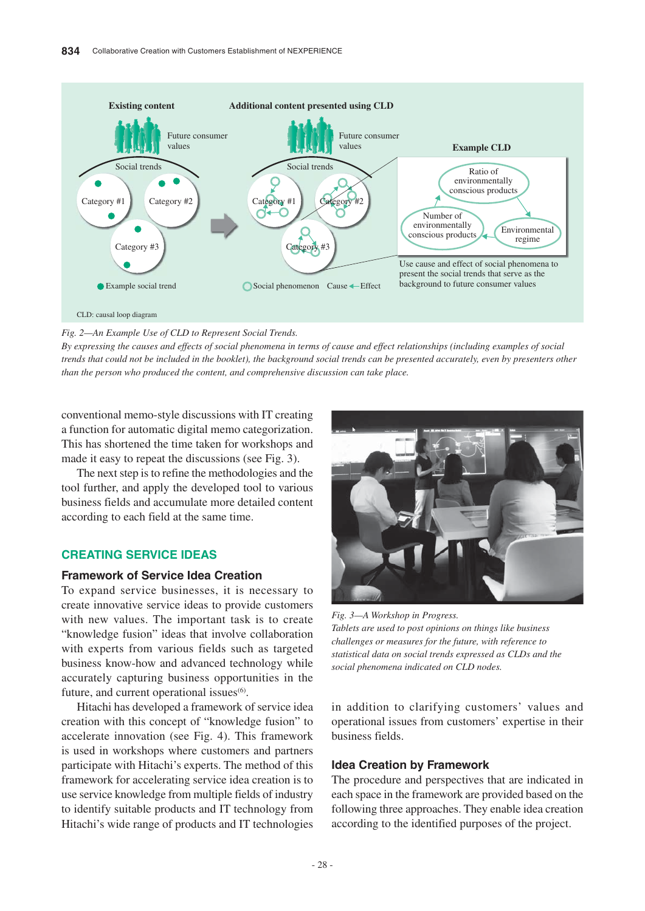

*Fig. 2—An Example Use of CLD to Represent Social Trends.*

*By expressing the causes and effects of social phenomena in terms of cause and effect relationships (including examples of social trends that could not be included in the booklet), the background social trends can be presented accurately, even by presenters other than the person who produced the content, and comprehensive discussion can take place.*

conventional memo-style discussions with IT creating a function for automatic digital memo categorization. This has shortened the time taken for workshops and made it easy to repeat the discussions (see Fig. 3).

The next step is to refine the methodologies and the tool further, and apply the developed tool to various business fields and accumulate more detailed content according to each field at the same time.

# **CREATING SERVICE IDEAS**

# **Framework of Service Idea Creation**

To expand service businesses, it is necessary to create innovative service ideas to provide customers with new values. The important task is to create "knowledge fusion" ideas that involve collaboration with experts from various fields such as targeted business know-how and advanced technology while accurately capturing business opportunities in the future, and current operational issues $<sup>(6)</sup>$ .</sup>

Hitachi has developed a framework of service idea creation with this concept of "knowledge fusion" to accelerate innovation (see Fig. 4). This framework is used in workshops where customers and partners participate with Hitachi's experts. The method of this framework for accelerating service idea creation is to use service knowledge from multiple fields of industry to identify suitable products and IT technology from Hitachi's wide range of products and IT technologies



*Fig. 3—A Workshop in Progress. Tablets are used to post opinions on things like business challenges or measures for the future, with reference to statistical data on social trends expressed as CLDs and the social phenomena indicated on CLD nodes.*

in addition to clarifying customers' values and operational issues from customers' expertise in their business fields.

### **Idea Creation by Framework**

The procedure and perspectives that are indicated in each space in the framework are provided based on the following three approaches. They enable idea creation according to the identified purposes of the project.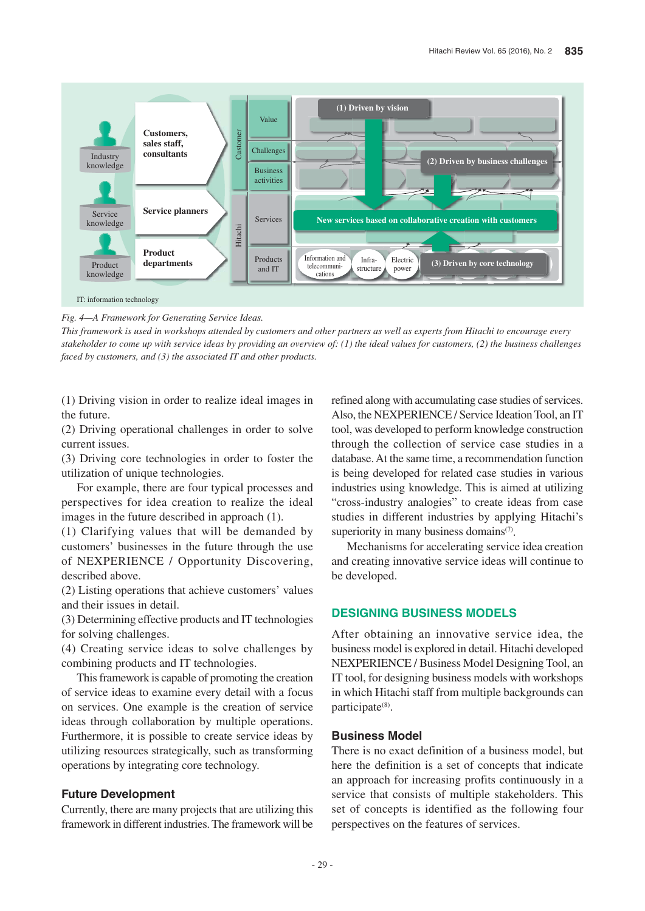

*Fig. 4—A Framework for Generating Service Ideas.*

*This framework is used in workshops attended by customers and other partners as well as experts from Hitachi to encourage every stakeholder to come up with service ideas by providing an overview of: (1) the ideal values for customers, (2) the business challenges faced by customers, and (3) the associated IT and other products.*

(1) Driving vision in order to realize ideal images in the future.

(2) Driving operational challenges in order to solve current issues.

(3) Driving core technologies in order to foster the utilization of unique technologies.

For example, there are four typical processes and perspectives for idea creation to realize the ideal images in the future described in approach (1).

(1) Clarifying values that will be demanded by customers' businesses in the future through the use of NEXPERIENCE / Opportunity Discovering, described above.

(2) Listing operations that achieve customers' values and their issues in detail.

(3) Determining effective products and IT technologies for solving challenges.

(4) Creating service ideas to solve challenges by combining products and IT technologies.

This framework is capable of promoting the creation of service ideas to examine every detail with a focus on services. One example is the creation of service ideas through collaboration by multiple operations. Furthermore, it is possible to create service ideas by utilizing resources strategically, such as transforming operations by integrating core technology.

# **Future Development**

Currently, there are many projects that are utilizing this framework in different industries. The framework will be

refined along with accumulating case studies of services. Also, the NEXPERIENCE / Service Ideation Tool, an IT tool, was developed to perform knowledge construction through the collection of service case studies in a database. At the same time, a recommendation function is being developed for related case studies in various industries using knowledge. This is aimed at utilizing "cross-industry analogies" to create ideas from case studies in different industries by applying Hitachi's superiority in many business domains $(7)$ .

Mechanisms for accelerating service idea creation and creating innovative service ideas will continue to be developed.

# **DESIGNING BUSINESS MODELS**

After obtaining an innovative service idea, the business model is explored in detail. Hitachi developed NEXPERIENCE / Business Model Designing Tool, an IT tool, for designing business models with workshops in which Hitachi staff from multiple backgrounds can participate(8).

### **Business Model**

There is no exact definition of a business model, but here the definition is a set of concepts that indicate an approach for increasing profits continuously in a service that consists of multiple stakeholders. This set of concepts is identified as the following four perspectives on the features of services.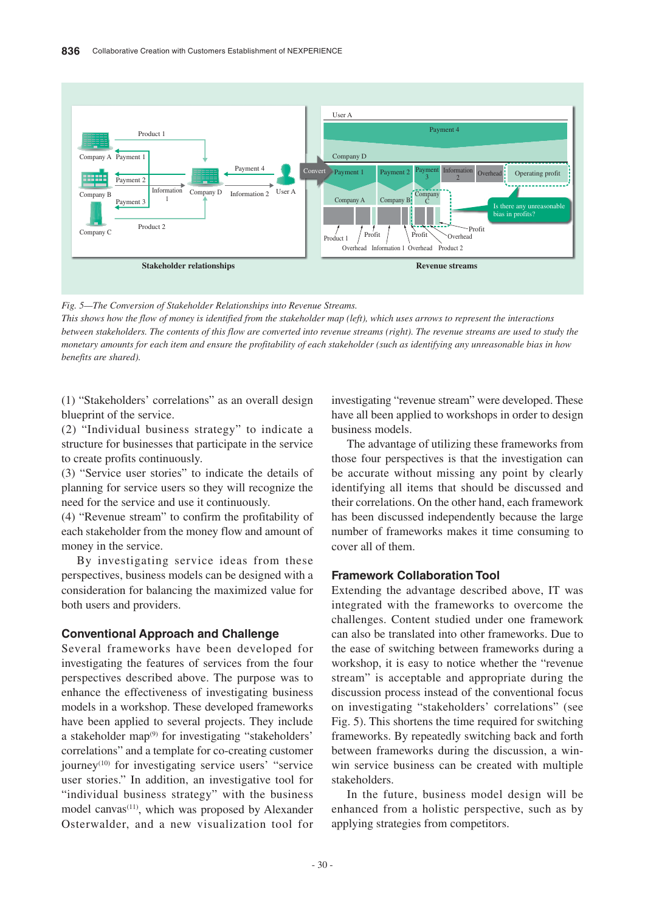

*Fig. 5—The Conversion of Stakeholder Relationships into Revenue Streams.*

*This shows how the flow of money is identified from the stakeholder map (left), which uses arrows to represent the interactions between stakeholders. The contents of this flow are converted into revenue streams (right). The revenue streams are used to study the monetary amounts for each item and ensure the profitability of each stakeholder (such as identifying any unreasonable bias in how benefits are shared).*

(1) "Stakeholders' correlations" as an overall design blueprint of the service.

(2) "Individual business strategy" to indicate a structure for businesses that participate in the service to create profits continuously.

(3) "Service user stories" to indicate the details of planning for service users so they will recognize the need for the service and use it continuously.

(4) "Revenue stream" to confirm the profitability of each stakeholder from the money flow and amount of money in the service.

By investigating service ideas from these perspectives, business models can be designed with a consideration for balancing the maximized value for both users and providers.

# **Conventional Approach and Challenge**

Several frameworks have been developed for investigating the features of services from the four perspectives described above. The purpose was to enhance the effectiveness of investigating business models in a workshop. These developed frameworks have been applied to several projects. They include a stakeholder map<sup>(9)</sup> for investigating "stakeholders" correlations" and a template for co-creating customer journey<sup>(10)</sup> for investigating service users' "service" user stories." In addition, an investigative tool for "individual business strategy" with the business model canvas<sup>(11)</sup>, which was proposed by Alexander Osterwalder, and a new visualization tool for

investigating "revenue stream" were developed. These have all been applied to workshops in order to design business models.

The advantage of utilizing these frameworks from those four perspectives is that the investigation can be accurate without missing any point by clearly identifying all items that should be discussed and their correlations. On the other hand, each framework has been discussed independently because the large number of frameworks makes it time consuming to cover all of them.

# **Framework Collaboration Tool**

Extending the advantage described above, IT was integrated with the frameworks to overcome the challenges. Content studied under one framework can also be translated into other frameworks. Due to the ease of switching between frameworks during a workshop, it is easy to notice whether the "revenue stream" is acceptable and appropriate during the discussion process instead of the conventional focus on investigating "stakeholders' correlations" (see Fig. 5). This shortens the time required for switching frameworks. By repeatedly switching back and forth between frameworks during the discussion, a winwin service business can be created with multiple stakeholders.

In the future, business model design will be enhanced from a holistic perspective, such as by applying strategies from competitors.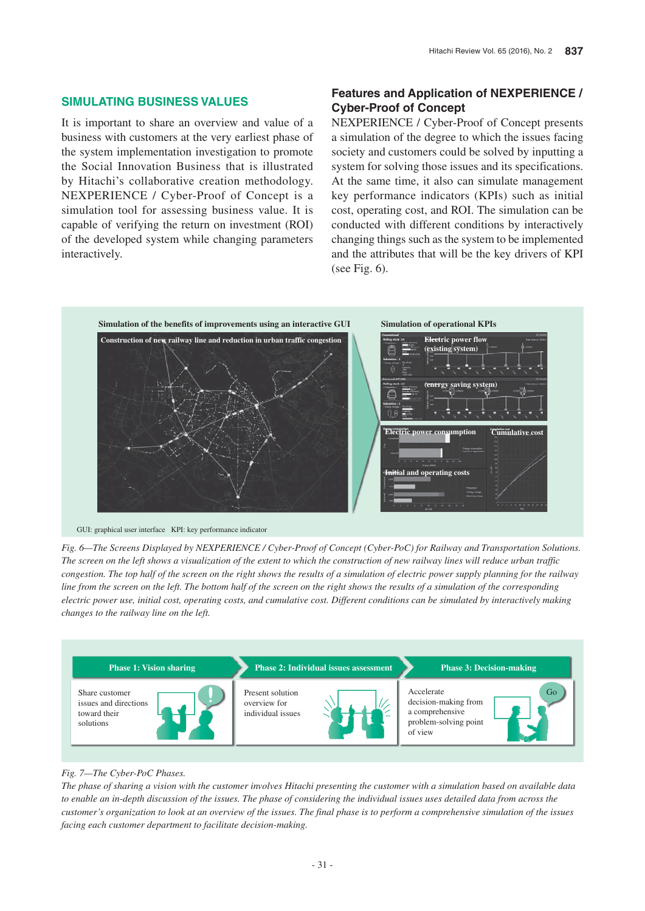# **SIMULATING BUSINESS VALUES**

It is important to share an overview and value of a business with customers at the very earliest phase of the system implementation investigation to promote the Social Innovation Business that is illustrated by Hitachi's collaborative creation methodology. NEXPERIENCE / Cyber-Proof of Concept is a simulation tool for assessing business value. It is capable of verifying the return on investment (ROI) of the developed system while changing parameters interactively.

# **Features and Application of NEXPERIENCE / Cyber-Proof of Concept**

NEXPERIENCE / Cyber-Proof of Concept presents a simulation of the degree to which the issues facing society and customers could be solved by inputting a system for solving those issues and its specifications. At the same time, it also can simulate management key performance indicators (KPIs) such as initial cost, operating cost, and ROI. The simulation can be conducted with different conditions by interactively changing things such as the system to be implemented and the attributes that will be the key drivers of KPI (see Fig. 6).



GUI: graphical user interface KPI: key performance indicator

*Fig. 6—The Screens Displayed by NEXPERIENCE / Cyber-Proof of Concept (Cyber-PoC) for Railway and Transportation Solutions. The screen on the left shows a visualization of the extent to which the construction of new railway lines will reduce urban traffic congestion. The top half of the screen on the right shows the results of a simulation of electric power supply planning for the railway line from the screen on the left. The bottom half of the screen on the right shows the results of a simulation of the corresponding electric power use, initial cost, operating costs, and cumulative cost. Different conditions can be simulated by interactively making changes to the railway line on the left.*



#### *Fig. 7—The Cyber-PoC Phases.*

*The phase of sharing a vision with the customer involves Hitachi presenting the customer with a simulation based on available data to enable an in-depth discussion of the issues. The phase of considering the individual issues uses detailed data from across the customer's organization to look at an overview of the issues. The final phase is to perform a comprehensive simulation of the issues facing each customer department to facilitate decision-making.*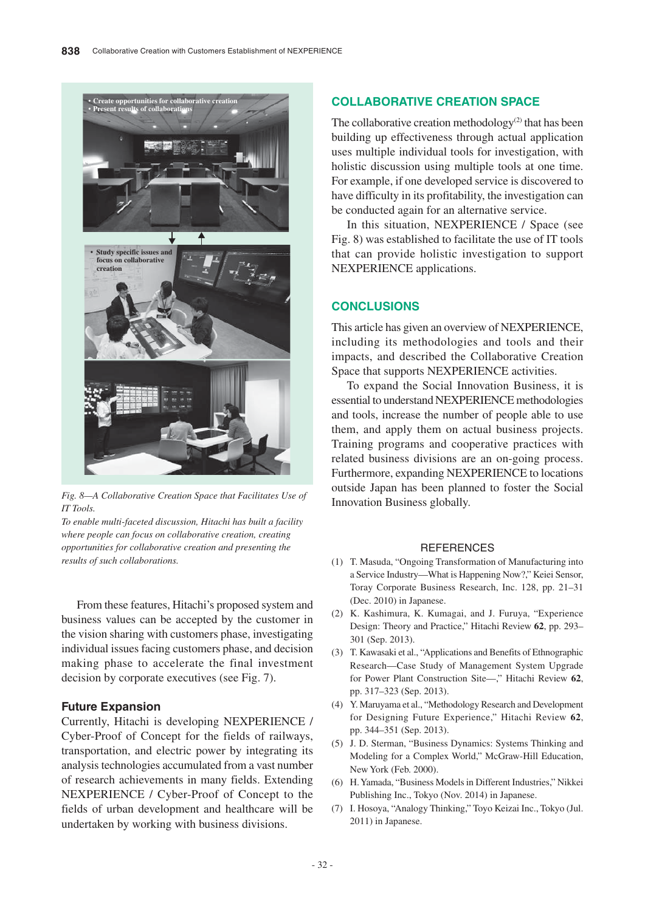

*Fig. 8—A Collaborative Creation Space that Facilitates Use of IT Tools.*

*To enable multi-faceted discussion, Hitachi has built a facility where people can focus on collaborative creation, creating opportunities for collaborative creation and presenting the results of such collaborations.*

From these features, Hitachi's proposed system and business values can be accepted by the customer in the vision sharing with customers phase, investigating individual issues facing customers phase, and decision making phase to accelerate the final investment decision by corporate executives (see Fig. 7).

# **Future Expansion**

Currently, Hitachi is developing NEXPERIENCE / Cyber-Proof of Concept for the fields of railways, transportation, and electric power by integrating its analysis technologies accumulated from a vast number of research achievements in many fields. Extending NEXPERIENCE / Cyber-Proof of Concept to the fields of urban development and healthcare will be undertaken by working with business divisions.

# **COLLABORATIVE CREATION SPACE**

The collaborative creation methodology $(2)$  that has been building up effectiveness through actual application uses multiple individual tools for investigation, with holistic discussion using multiple tools at one time. For example, if one developed service is discovered to have difficulty in its profitability, the investigation can be conducted again for an alternative service.

In this situation, NEXPERIENCE / Space (see Fig. 8) was established to facilitate the use of IT tools that can provide holistic investigation to support NEXPERIENCE applications.

# **CONCLUSIONS**

This article has given an overview of NEXPERIENCE, including its methodologies and tools and their impacts, and described the Collaborative Creation Space that supports NEXPERIENCE activities.

To expand the Social Innovation Business, it is essential to understand NEXPERIENCE methodologies and tools, increase the number of people able to use them, and apply them on actual business projects. Training programs and cooperative practices with related business divisions are an on-going process. Furthermore, expanding NEXPERIENCE to locations outside Japan has been planned to foster the Social Innovation Business globally.

#### **REFERENCES**

- (1) T. Masuda, "Ongoing Transformation of Manufacturing into a Service Industry—What is Happening Now?," Keiei Sensor, Toray Corporate Business Research, Inc. 128, pp. 21–31 (Dec. 2010) in Japanese.
- (2) K. Kashimura, K. Kumagai, and J. Furuya, "Experience Design: Theory and Practice," Hitachi Review **62**, pp. 293– 301 (Sep. 2013).
- (3) T. Kawasaki et al., "Applications and Benefits of Ethnographic Research—Case Study of Management System Upgrade for Power Plant Construction Site—," Hitachi Review **62**, pp. 317–323 (Sep. 2013).
- (4) Y. Maruyama et al., "Methodology Research and Development for Designing Future Experience," Hitachi Review **62**, pp. 344–351 (Sep. 2013).
- (5) J. D. Sterman, "Business Dynamics: Systems Thinking and Modeling for a Complex World," McGraw-Hill Education, New York (Feb. 2000).
- (6) H. Yamada, "Business Models in Different Industries," Nikkei Publishing Inc., Tokyo (Nov. 2014) in Japanese.
- (7) I. Hosoya, "Analogy Thinking," Toyo Keizai Inc., Tokyo (Jul. 2011) in Japanese.